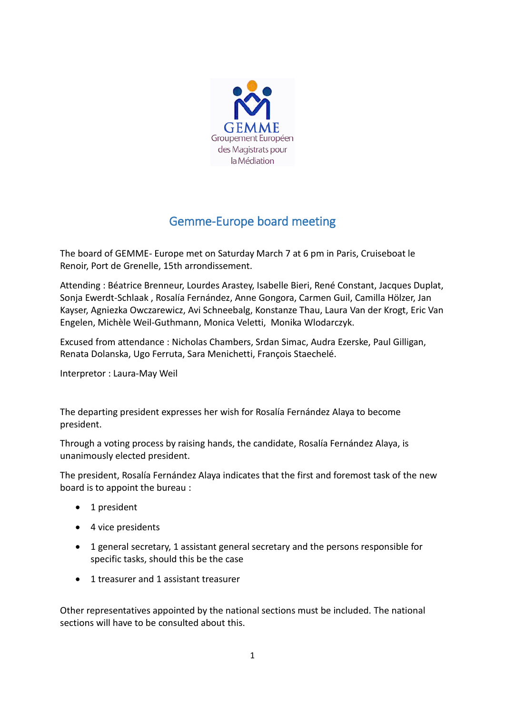

## Gemme-Europe board meeting

The board of GEMME- Europe met on Saturday March 7 at 6 pm in Paris, Cruiseboat le Renoir, Port de Grenelle, 15th arrondissement.

Attending : Béatrice Brenneur, Lourdes Arastey, Isabelle Bieri, René Constant, Jacques Duplat, Sonja Ewerdt-Schlaak , Rosalía Fernández, Anne Gongora, Carmen Guil, Camilla Hölzer, Jan Kayser, Agniezka Owczarewicz, Avi Schneebalg, Konstanze Thau, Laura Van der Krogt, Eric Van Engelen, Michèle Weil-Guthmann, Monica Veletti, Monika Wlodarczyk.

Excused from attendance : Nicholas Chambers, Srdan Simac, Audra Ezerske, Paul Gilligan, Renata Dolanska, Ugo Ferruta, Sara Menichetti, François Staechelé.

Interpretor : Laura-May Weil

The departing president expresses her wish for Rosalía Fernández Alaya to become president.

Through a voting process by raising hands, the candidate, Rosalía Fernández Alaya, is unanimously elected president.

The president, Rosalía Fernández Alaya indicates that the first and foremost task of the new board is to appoint the bureau :

- 1 president
- 4 vice presidents
- 1 general secretary, 1 assistant general secretary and the persons responsible for specific tasks, should this be the case
- 1 treasurer and 1 assistant treasurer

Other representatives appointed by the national sections must be included. The national sections will have to be consulted about this.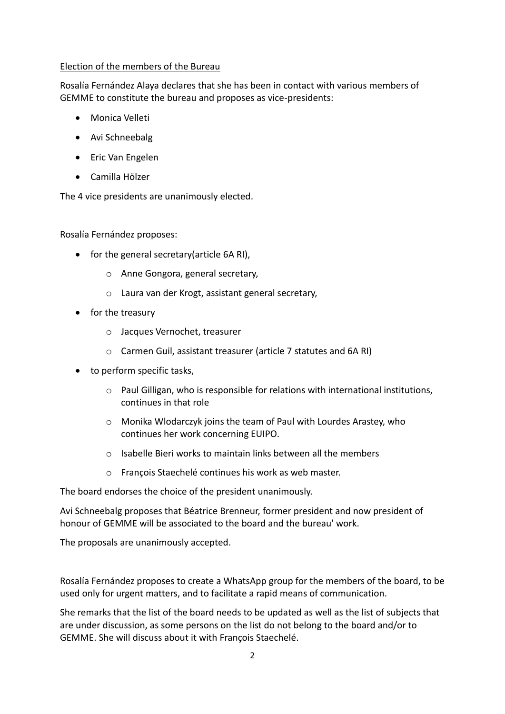## Election of the members of the Bureau

Rosalía Fernández Alaya declares that she has been in contact with various members of GEMME to constitute the bureau and proposes as vice-presidents:

- Monica Velleti
- Avi Schneebalg
- Eric Van Engelen
- Camilla Hölzer

The 4 vice presidents are unanimously elected.

Rosalía Fernández proposes:

- for the general secretary(article 6A RI),
	- o Anne Gongora, general secretary,
	- o Laura van der Krogt, assistant general secretary,
- for the treasury
	- o Jacques Vernochet, treasurer
	- o Carmen Guil, assistant treasurer (article 7 statutes and 6A RI)
- to perform specific tasks.
	- $\circ$  Paul Gilligan, who is responsible for relations with international institutions, continues in that role
	- o Monika Wlodarczyk joins the team of Paul with Lourdes Arastey, who continues her work concerning EUIPO.
	- o Isabelle Bieri works to maintain links between all the members
	- o François Staechelé continues his work as web master.

The board endorses the choice of the president unanimously.

Avi Schneebalg proposes that Béatrice Brenneur, former president and now president of honour of GEMME will be associated to the board and the bureau' work.

The proposals are unanimously accepted.

Rosalía Fernández proposes to create a WhatsApp group for the members of the board, to be used only for urgent matters, and to facilitate a rapid means of communication.

She remarks that the list of the board needs to be updated as well as the list of subjects that are under discussion, as some persons on the list do not belong to the board and/or to GEMME. She will discuss about it with François Staechelé.